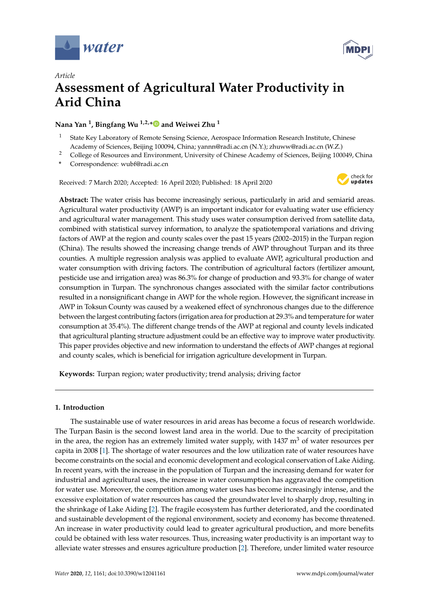



# *Article* **Assessment of Agricultural Water Productivity in Arid China**

### **Nana Yan <sup>1</sup> , Bingfang Wu 1,2,[\\*](https://orcid.org/0000-0001-5546-365X) and Weiwei Zhu <sup>1</sup>**

- State Key Laboratory of Remote Sensing Science, Aerospace Information Research Institute, Chinese Academy of Sciences, Beijing 100094, China; yannn@radi.ac.cn (N.Y.); zhuww@radi.ac.cn (W.Z.)
- <sup>2</sup> College of Resources and Environment, University of Chinese Academy of Sciences, Beijing 100049, China
- **\*** Correspondence: wubf@radi.ac.cn

Received: 7 March 2020; Accepted: 16 April 2020; Published: 18 April 2020



**Abstract:** The water crisis has become increasingly serious, particularly in arid and semiarid areas. Agricultural water productivity (AWP) is an important indicator for evaluating water use efficiency and agricultural water management. This study uses water consumption derived from satellite data, combined with statistical survey information, to analyze the spatiotemporal variations and driving factors of AWP at the region and county scales over the past 15 years (2002–2015) in the Turpan region (China). The results showed the increasing change trends of AWP throughout Turpan and its three counties. A multiple regression analysis was applied to evaluate AWP, agricultural production and water consumption with driving factors. The contribution of agricultural factors (fertilizer amount, pesticide use and irrigation area) was 86.3% for change of production and 93.3% for change of water consumption in Turpan. The synchronous changes associated with the similar factor contributions resulted in a nonsignificant change in AWP for the whole region. However, the significant increase in AWP in Toksun County was caused by a weakened effect of synchronous changes due to the difference between the largest contributing factors (irrigation area for production at 29.3% and temperature for water consumption at 35.4%). The different change trends of the AWP at regional and county levels indicated that agricultural planting structure adjustment could be an effective way to improve water productivity. This paper provides objective and new information to understand the effects of AWP changes at regional and county scales, which is beneficial for irrigation agriculture development in Turpan.

**Keywords:** Turpan region; water productivity; trend analysis; driving factor

### **1. Introduction**

The sustainable use of water resources in arid areas has become a focus of research worldwide. The Turpan Basin is the second lowest land area in the world. Due to the scarcity of precipitation in the area, the region has an extremely limited water supply, with  $1437 \text{ m}^3$  of water resources per capita in 2008 [\[1\]](#page-11-0). The shortage of water resources and the low utilization rate of water resources have become constraints on the social and economic development and ecological conservation of Lake Aiding. In recent years, with the increase in the population of Turpan and the increasing demand for water for industrial and agricultural uses, the increase in water consumption has aggravated the competition for water use. Moreover, the competition among water uses has become increasingly intense, and the excessive exploitation of water resources has caused the groundwater level to sharply drop, resulting in the shrinkage of Lake Aiding [\[2\]](#page-11-1). The fragile ecosystem has further deteriorated, and the coordinated and sustainable development of the regional environment, society and economy has become threatened. An increase in water productivity could lead to greater agricultural production, and more benefits could be obtained with less water resources. Thus, increasing water productivity is an important way to alleviate water stresses and ensures agriculture production [\[2\]](#page-11-1). Therefore, under limited water resource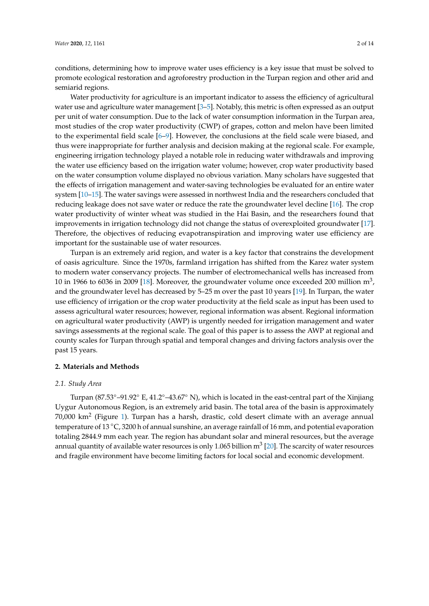conditions, determining how to improve water uses efficiency is a key issue that must be solved to promote ecological restoration and agroforestry production in the Turpan region and other arid and semiarid regions.

Water productivity for agriculture is an important indicator to assess the efficiency of agricultural water use and agriculture water management [\[3](#page-11-2)[–5\]](#page-11-3). Notably, this metric is often expressed as an output per unit of water consumption. Due to the lack of water consumption information in the Turpan area, most studies of the crop water productivity (CWP) of grapes, cotton and melon have been limited to the experimental field scale [\[6–](#page-11-4)[9\]](#page-11-5). However, the conclusions at the field scale were biased, and thus were inappropriate for further analysis and decision making at the regional scale. For example, engineering irrigation technology played a notable role in reducing water withdrawals and improving the water use efficiency based on the irrigation water volume; however, crop water productivity based on the water consumption volume displayed no obvious variation. Many scholars have suggested that the effects of irrigation management and water-saving technologies be evaluated for an entire water system [\[10](#page-12-0)[–15\]](#page-12-1). The water savings were assessed in northwest India and the researchers concluded that reducing leakage does not save water or reduce the rate the groundwater level decline [\[16\]](#page-12-2). The crop water productivity of winter wheat was studied in the Hai Basin, and the researchers found that improvements in irrigation technology did not change the status of overexploited groundwater [\[17\]](#page-12-3). Therefore, the objectives of reducing evapotranspiration and improving water use efficiency are important for the sustainable use of water resources.

Turpan is an extremely arid region, and water is a key factor that constrains the development of oasis agriculture. Since the 1970s, farmland irrigation has shifted from the Karez water system to modern water conservancy projects. The number of electromechanical wells has increased from 10 in 1966 to 6036 in 2009 [\[18\]](#page-12-4). Moreover, the groundwater volume once exceeded 200 million  $m^3$ , and the groundwater level has decreased by 5–25 m over the past 10 years [\[19\]](#page-12-5). In Turpan, the water use efficiency of irrigation or the crop water productivity at the field scale as input has been used to assess agricultural water resources; however, regional information was absent. Regional information on agricultural water productivity (AWP) is urgently needed for irrigation management and water savings assessments at the regional scale. The goal of this paper is to assess the AWP at regional and county scales for Turpan through spatial and temporal changes and driving factors analysis over the past 15 years.

#### **2. Materials and Methods**

#### *2.1. Study Area*

Turpan (87.53◦–91.92◦ E, 41.2◦–43.67◦ N), which is located in the east-central part of the Xinjiang Uygur Autonomous Region, is an extremely arid basin. The total area of the basin is approximately 70,000 km $^2$  (Figure [1\)](#page-2-0). Turpan has a harsh, drastic, cold desert climate with an average annual temperature of 13 ◦C, 3200 h of annual sunshine, an average rainfall of 16 mm, and potential evaporation totaling 2844.9 mm each year. The region has abundant solar and mineral resources, but the average annual quantity of available water resources is only 1.065 billion  ${\rm m}^3$  [\[20\]](#page-12-6). The scarcity of water resources and fragile environment have become limiting factors for local social and economic development.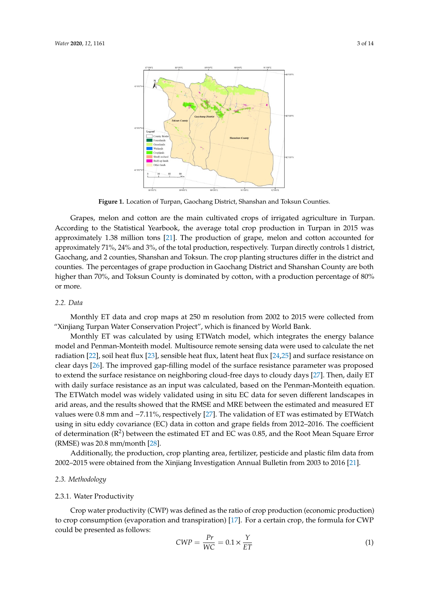<span id="page-2-0"></span>

**Figure 1.** Location of Turpan, Gaochang District, Shanshan and Toksun Counties. **Figure 1.** Location of Turpan, Gaochang District, Shanshan and Toksun Counties.

Grapes, melon and cotton are the main cultivated crops of irrigated agriculture in Turpan. Grapes, melon and cotton are the main cultivated crops of irrigated agriculture in Turpan. According to the Statistical Yearbook, the average total crop production in Turpan in 2015 was According to the Statistical Yearbook, the average total crop production in Turpan in 2015 was approximately 1.38 million tons [21]. The production of grape, melon and cotton accounted for approximately 1.38 million tons [\[21\]](#page-12-7). The production of grape, melon and cotton accounted for approximately 71%, 24% and 3%, of the total production, respectively. Turpan directly controls approximately 71%, 24% and 3%, of the total production, respectively. Turpan directly controls 1 district, 1 district, Gaochang, and 2 counties, Shanshan and Toksun. The crop planting structures differ in Gaochang, and 2 counties, Shanshan and Toksun. The crop planting structures differ in the district and counties. The percentages of grape production in Gaochang District and Shanshan County are both higher than 70%, and Toksun County is dominated by cotton, with a production percentage of 80% or more.

### *2.2. Data 2.2. Data*

Monthly ET data and crop maps at 250 m resolution from 2002 to 2015 were collected from Monthly ET data and crop maps at 250 m resolution from 2002 to 2015 were collected from "Xinjiang Turpan Water Conservation Project", which is financed by World Bank. "Xinjiang Turpan Water Conservation Project", which is financed by World Bank.

Monthly ET was calculated by using ETWatch model, which integrates the energy balance Monthly ET was calculated by using ETWatch model, which integrates the energy balance model and Penman-Monteith model. Multisource remote sensing data were used to calculate the net model and Penman-Monteith model. Multisource remote sensing data were used to calculate the net radiation [22], soil heat flux [23], sensible heat flux, latent heat flux [24,25] and surface resistance on radiation [\[22\]](#page-12-8), soil heat flux [\[23\]](#page-12-9), sensible heat flux, latent heat flux [\[24](#page-12-10)[,25\]](#page-12-11) and surface resistance on clear days [\[26\]](#page-12-12). The improved gap-filling model of the surface resistance parameter was proposed extend the surface resistance on neighboring cloud-free days to cloudy days [27]. Then, daily ET to extend the surface resistance on neighboring cloud-free days to cloudy days [\[27\]](#page-12-13). Then, daily ET with daily surface resistance as an input was calculated, based on the Penman-Monteith equation. with daily surface resistance as an input was calculated, based on the Penman-Monteith equation. The ETWatch model was widely validated using in situ EC data for seven different landscapes in The ETWatch model was widely validated using in situ EC data for seven different landscapes in arid areas, and the results showed that the RMSE and MRE between the estimated and measured ET arid areas, and the results showed that the RMSE and MRE between the estimated and measured ET values were 0.8 mm and −7.11%, respectively [\[27\]](#page-12-13). The validation of ET was estimated by ETWatch using in situ eddy covariance (EC) data in cotton and grape fields from 2012–2016. The coefficient of determination  $(R^2)$  between the estimated ET and EC was 0.85, and the Root Mean Square Error (RMSE) was 20.8 mm/month [28]. (RMSE) was 20.8 mm/month [\[28\]](#page-12-14).

Additionally, the production, crop planting area, fertilizer, pesticide and plastic film data from Additionally, the production, crop planting area, fertilizer, pesticide and plastic film data from 2002–2015 were obtained from the Xinjiang Investigation Annual Bulletin from 2003 to 2016 [21]. 2002–2015 were obtained from the Xinjiang Investigation Annual Bulletin from 2003 to 2016 [\[21\]](#page-12-7).

# *2.3. Methodology 2.3. Methodology*

#### 2.3.1. Water Productivity 2.3.1. Water Productivity

to crop consumption (evaporation and transpiration) [\[17\]](#page-12-3). For a certain crop, the formula for CWP  $\frac{1}{2}$  could be presented as follows: Crop water productivity (CWP) was defined as the ratio of crop production (economic production)

$$
CWP = \frac{Pr}{WC} = 0.1 \times \frac{Y}{ET}
$$
 (1)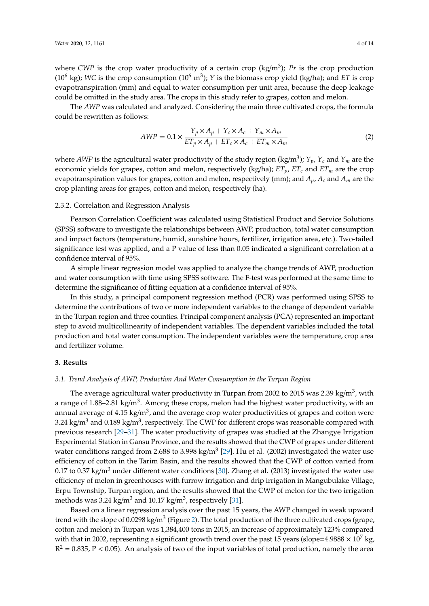where *CWP* is the crop water productivity of a certain crop (kg/m<sup>3</sup>); *Pr* is the crop production (10<sup>6</sup> kg); WC is the crop consumption (10<sup>6</sup> m<sup>3</sup>); *Y* is the biomass crop yield (kg/ha); and *ET* is crop evapotranspiration (mm) and equal to water consumption per unit area, because the deep leakage could be omitted in the study area. The crops in this study refer to grapes, cotton and melon.

The *AWP* was calculated and analyzed. Considering the main three cultivated crops, the formula could be rewritten as follows:

$$
AWP = 0.1 \times \frac{Y_p \times A_p + Y_c \times A_c + Y_m \times A_m}{ET_p \times A_p + ET_c \times A_c + ET_m \times A_m}
$$
(2)

where *AWP* is the agricultural water productivity of the study region (kg/m<sup>3</sup> ); *Yp*, *Y<sup>c</sup>* and *Y<sup>m</sup>* are the economic yields for grapes, cotton and melon, respectively (kg/ha); *ETp*, *ET<sup>c</sup>* and *ET<sup>m</sup>* are the crop evapotranspiration values for grapes, cotton and melon, respectively (mm); and *Ap*, *Ac* and *Am* are the crop planting areas for grapes, cotton and melon, respectively (ha).

#### 2.3.2. Correlation and Regression Analysis

Pearson Correlation Coefficient was calculated using Statistical Product and Service Solutions (SPSS) software to investigate the relationships between AWP, production, total water consumption and impact factors (temperature, humid, sunshine hours, fertilizer, irrigation area, etc.). Two-tailed significance test was applied, and a P value of less than 0.05 indicated a significant correlation at a confidence interval of 95%.

A simple linear regression model was applied to analyze the change trends of AWP, production and water consumption with time using SPSS software. The F-test was performed at the same time to determine the significance of fitting equation at a confidence interval of 95%.

In this study, a principal component regression method (PCR) was performed using SPSS to determine the contributions of two or more independent variables to the change of dependent variable in the Turpan region and three counties. Principal component analysis (PCA) represented an important step to avoid multicollinearity of independent variables. The dependent variables included the total production and total water consumption. The independent variables were the temperature, crop area and fertilizer volume.

#### **3. Results**

#### *3.1. Trend Analysis of AWP, Production And Water Consumption in the Turpan Region*

The average agricultural water productivity in Turpan from 2002 to 2015 was 2.39 kg/m $^3$ , with a range of 1.88–2.81 kg/m<sup>3</sup>. Among these crops, melon had the highest water productivity, with an annual average of  $4.15$  kg/m $^3$ , and the average crop water productivities of grapes and cotton were 3.24 kg/m $^3$  and 0.189 kg/m $^3$ , respectively. The CWP for different crops was reasonable compared with previous research [\[29–](#page-12-15)[31\]](#page-12-16). The water productivity of grapes was studied at the Zhangye Irrigation Experimental Station in Gansu Province, and the results showed that the CWP of grapes under different water conditions ranged from 2.688 to 3.998 kg/m<sup>3</sup> [\[29\]](#page-12-15). Hu et al. (2002) investigated the water use efficiency of cotton in the Tarim Basin, and the results showed that the CWP of cotton varied from 0.17 to 0.37 kg/m<sup>3</sup> under different water conditions [\[30\]](#page-12-17). Zhang et al. (2013) investigated the water use efficiency of melon in greenhouses with furrow irrigation and drip irrigation in Mangubulake Village, Erpu Township, Turpan region, and the results showed that the CWP of melon for the two irrigation methods was 3.24 kg/m $^3$  and 10.17 kg/m $^3$ , respectively [\[31\]](#page-12-16).

Based on a linear regression analysis over the past 15 years, the AWP changed in weak upward trend with the slope of 0.0298 kg/m<sup>3</sup> (Figure [2\)](#page-4-0). The total production of the three cultivated crops (grape, cotton and melon) in Turpan was 1,384,400 tons in 2015, an increase of approximately 123% compared with that in 2002, representing a significant growth trend over the past 15 years (slope=4.9888  $\times$  10<sup>7</sup> kg,  $R^2 = 0.835$ , P < 0.05). An analysis of two of the input variables of total production, namely the area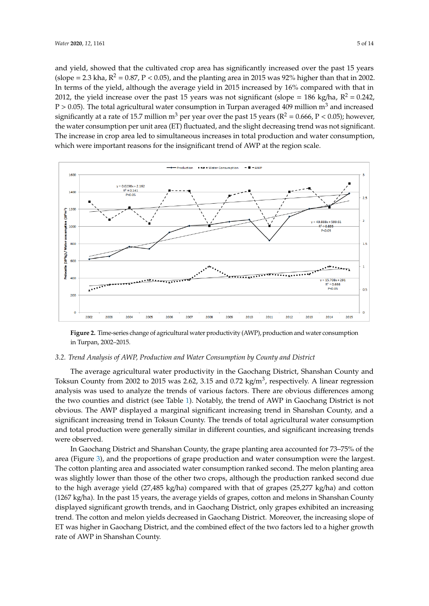and yield, showed that the cultivated crop area has significantly increased over the past 15 years (slope = 2.3 kha,  $R^2 = 0.87$ , P < 0.05), and the planting area in 2015 was 92% higher than that in 2002. In terms of the yield, although the average yield in 2015 increased by 16% compared with that in 2012, the yield increase over the past 15 years was not significant (slope =  $186 \text{ kg/ha}$ ,  $\text{R}^2 = 0.242$ , P > 0.05). The total agricultural water consumption in Turpan averaged 409 million m<sup>3</sup> and increased significantly at a rate of 15.7 million m<sup>3</sup> per year over the past 15 years ( $R^2 = 0.666$ ,  $P < 0.05$ ); however, the water consumption per unit area (ET) fluctuated, and the slight decreasing trend was not significant. The increase in crop area led to simultaneous increases in total production and water consumption, which were important reasons for the insignificant trend of AWP at the region scale. AWP at the region scale.

<span id="page-4-0"></span>

**Figure 2.** Time-series change of agricultural water productivity (AWP), production and water **Figure 2.** Time-series change of agricultural water productivity (AWP), production and water consumption consumption in Turpan, 2002–2015. in Turpan, 2002–2015.

## *3.2. Trend Analysis of AWP, Production and Water Consumption by County and District 3.2. Trend Analysis of AWP, Production and Water Consumption by County and District*

The average agricultural water productivity in the Gaochang District, Shanshan County and The average agricultural water productivity in the Gaochang District, Shanshan County and Toksun County from 2002 to 2015 was 2.62, 3.15 and 0.72 kg/m<sup>3</sup>, respectively. A linear regression analysis was used to analyze the trends of various factors. There are obvious differences among two counties and district (see Table 1). Notably, the trend of AWP in Gaochang District is not the two counties and district (see Table [1\)](#page-5-0). Notably, the trend of AWP in Gaochang District is not obvious. The AWP displayed a marginal significant increasing trend in Shanshan County, and a obvious. The AWP displayed a marginal significant increasing trend in Shanshan County, and a significant increasing trend in Toksun County. The trends of total agricultural water consumption significant increasing trend in Toksun County. The trends of total agricultural water consumption and total production were generally similar in different counties, and significant increasing trends and total production were generally similar in different counties, and significant increasing trends were observed. were observed.

In Gaochang District and Shanshan County, the grape planting area accounted for 73–75% of In Gaochang District and Shanshan County, the grape planting area accounted for 73–75% of the area (Figure [3\)](#page-5-1), and the proportions of grape production and water consumption were the largest.<br>— The cotton planting area and associated water consumption ranked second. The melon planting area and associated water consumption ranked second. The melon planting area was slightly lower than those of the other two crops, although the production ranked second due to the high average yield (27,485 kg/ha) compared with that of grapes (25,277 kg/ha) and cotton (1267 kg/ha). In the past 15 years, the average yields of grapes, cotton and melons in Shanshan County displayed significant growth trends, and in Gaochang District, only grapes exhibited an increasing trend. The cotton and melon yields decreased in Gaochang District. Moreover, the increasing slope of ET was higher in Gaochang District, and the combined effect of the two factors led to a higher growth rate of AWP in Shanshan County.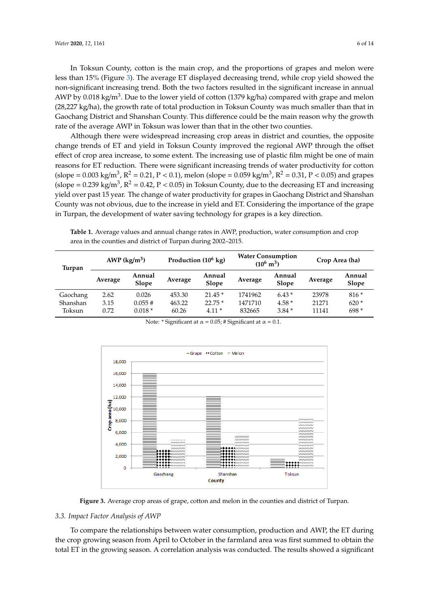In Toksun County, cotton is the main crop, and the proportions of grapes and melon were less than 15% (Figure 3). The average ET displayed decreasing trend, while crop yield showed the In Toksun County, cotton is the main crop, and the proportions of grapes and melon were<br>less than 15% (Figure 3). The average ET displayed decreasing trend, while crop yield showed the<br>non-significant increasing trend. Bot AWP by 0.018 kg/m<sup>3</sup>. Due to the lower yield of cotton (1379 kg/ha) compared with grape and melon (28,227 kg/ha), the growth rate of total production in Toksun County was much smaller than that in Gaochang District and Shanshan County. This difference could be the main reason why the growth rate of the average AWP in Toksun was lower than that in the other two counties.

Although there were widespread increasing crop areas in district and counties, the opposite change trends of ET and yield in Toksun County improved the regional AWP through the offset effect of crop area increase, to some extent. The increasing use of plastic film might be one of main reasons for ET reduction. There were significant increasing trends of water productivity for cotton (slope = 0.003 kg/m<sup>3</sup>, R<sup>2</sup> = 0.21, P < 0.1), melon (slope = 0.059 kg/m<sup>3</sup>, R<sup>2</sup> = 0.31, P < 0.05) and grapes (slope = 0.239 kg/m<sup>3</sup>, R<sup>2</sup> = 0.42, P < 0.05) in Toksun County, due to the decreasing ET and increasing yield over past 15 year. The change of water productivity for grapes in Gaochang District and Shanshan County was not obvious, due to the increase in yield and ET. Considering the importance of the grape in Turpan, the development of water saving technology for grapes is a key direction.

<span id="page-5-0"></span>**Table 1.** Average values and annual change rates in AWP, production, water consumption and crop area in the counties and district of Turpan during 2002–2015.

| Turpan   | AWP $(kg/m^3)$ |                 | Production $(10^6 \text{ kg})$ |                 | <b>Water Consumption</b><br>$(10^6 \text{ m}^3)$ |                 | Crop Area (ha) |                 |
|----------|----------------|-----------------|--------------------------------|-----------------|--------------------------------------------------|-----------------|----------------|-----------------|
|          | Average        | Annual<br>Slope | Average                        | Annual<br>Slope | Average                                          | Annual<br>Slope | Average        | Annual<br>Slope |
| Gaochang | 2.62           | 0.026           | 453.30                         | $21.45*$        | 1741962                                          | $6.43*$         | 23978          | $816*$          |
| Shanshan | 3.15           | 0.055#          | 463.22                         | $22.75*$        | 1471710                                          | $4.58*$         | 21271          | $620*$          |
| Toksun   | 0.72           | $0.018*$        | 60.26                          | $4.11*$         | 832665                                           | $3.84*$         | 11141          | $698*$          |

<span id="page-5-1"></span>

Note:  $*$  Significant at  $\alpha = 0.05$ ; # Significant at  $\alpha = 0.1$ .

**Figure 3.** Average crop areas of grape, cotton and melon in the counties and district of Turpan. **Figure 3.** Average crop areas of grape, cotton and melon in the counties and district of Turpan.

# *3.3. Impact Factor Analysis of AWP 3.3. Impact Factor Analysis of AWP*

To compare the relationships between water consumption, production and AWP, the ET during the crop growing season from April to October in the farmland area was first summed to obtain the the crop growing season  $\Lambda$  correlation analysis was conducted. The faculty showed a significant to obtain the farmland  $\pi$ total ET in the growing season. A correlation analysis was conducted. The results showed a total ET in the growing season. A correlation analysis was conducted. The results showed a significantTo compare the relationships between water consumption, production and AWP, the ET during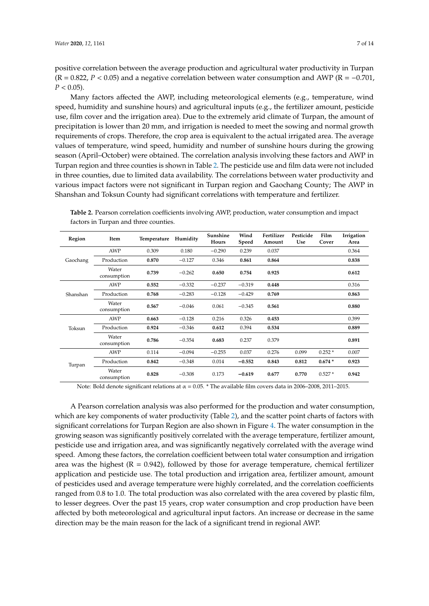positive correlation between the average production and agricultural water productivity in Turpan  $(R = 0.822, P < 0.05)$  and a negative correlation between water consumption and AWP ( $R = -0.701$ ,  $P < 0.05$ ).

Many factors affected the AWP, including meteorological elements (e.g., temperature, wind speed, humidity and sunshine hours) and agricultural inputs (e.g., the fertilizer amount, pesticide use, film cover and the irrigation area). Due to the extremely arid climate of Turpan, the amount of precipitation is lower than 20 mm, and irrigation is needed to meet the sowing and normal growth requirements of crops. Therefore, the crop area is equivalent to the actual irrigated area. The average values of temperature, wind speed, humidity and number of sunshine hours during the growing season (April–October) were obtained. The correlation analysis involving these factors and AWP in Turpan region and three counties is shown in Table [2.](#page-6-0) The pesticide use and film data were not included in three counties, due to limited data availability. The correlations between water productivity and various impact factors were not significant in Turpan region and Gaochang County; The AWP in Shanshan and Toksun County had significant correlations with temperature and fertilizer.

| Region   | Item                 | Temperature | Humidity | Sunshine<br>Hours | Wind<br>Speed | Fertilizer<br>Amount                                        | Pesticide<br>Use | Film<br>Cover | Irrigation<br>Area |
|----------|----------------------|-------------|----------|-------------------|---------------|-------------------------------------------------------------|------------------|---------------|--------------------|
|          | <b>AWP</b>           | 0.309       | 0.180    | $-0.290$          | 0.239         | 0.037                                                       |                  |               | 0.364              |
| Gaochang | Production           | 0.870       | $-0.127$ | 0.346             | 0.861         | 0.864                                                       |                  |               | 0.838              |
|          | Water<br>consumption | 0.739       | $-0.262$ | 0.650             | 0.754         | 0.925<br>0.448<br>0.769<br>0.561<br>0.453<br>0.534<br>0.379 |                  |               | 0.612              |
|          | <b>AWP</b>           | 0.552       | $-0.332$ | $-0.237$          | $-0.319$      |                                                             |                  |               | 0.316              |
| Shanshan | Production           | 0.768       | $-0.283$ | $-0.128$          | $-0.429$      |                                                             |                  |               | 0.863              |
|          | Water<br>consumption | 0.567       | $-0.046$ | 0.061             | $-0.345$      |                                                             |                  |               | 0.880              |
|          | <b>AWP</b>           | 0.663       | $-0.128$ | 0.216             | 0.326         |                                                             |                  |               | 0.399              |
| Toksun   | Production           | 0.924       | $-0.346$ | 0.612             | 0.394         |                                                             |                  |               | 0.889              |
|          | Water<br>consumption | 0.786       | $-0.354$ | 0.683             | 0.237         | 0.276                                                       |                  |               | 0.891              |
| Turpan   | AWP                  | 0.114       | $-0.094$ | $-0.255$          | 0.037         |                                                             | 0.099            | $0.252*$      | 0.007              |
|          | Production           | 0.842       | $-0.348$ | 0.014             | $-0.552$      | 0.843                                                       | 0.812            | $0.674*$      | 0.923              |
|          | Water<br>consumption | 0.828       | $-0.308$ | 0.173             | $-0.619$      | 0.677                                                       | 0.770            | $0.527*$      | 0.942              |

<span id="page-6-0"></span>**Table 2.** Pearson correlation coefficients involving AWP, production, water consumption and impact factors in Turpan and three counties.

Note: Bold denote significant relations at  $\alpha = 0.05$ . \* The available film covers data in 2006–2008, 2011–2015.

A Pearson correlation analysis was also performed for the production and water consumption, which are key components of water productivity (Table [2\)](#page-6-0), and the scatter point charts of factors with significant correlations for Turpan Region are also shown in Figure [4.](#page-7-0) The water consumption in the growing season was significantly positively correlated with the average temperature, fertilizer amount, pesticide use and irrigation area, and was significantly negatively correlated with the average wind speed. Among these factors, the correlation coefficient between total water consumption and irrigation area was the highest  $(R = 0.942)$ , followed by those for average temperature, chemical fertilizer application and pesticide use. The total production and irrigation area, fertilizer amount, amount of pesticides used and average temperature were highly correlated, and the correlation coefficients ranged from 0.8 to 1.0. The total production was also correlated with the area covered by plastic film, to lesser degrees. Over the past 15 years, crop water consumption and crop production have been affected by both meteorological and agricultural input factors. An increase or decrease in the same direction may be the main reason for the lack of a significant trend in regional AWP.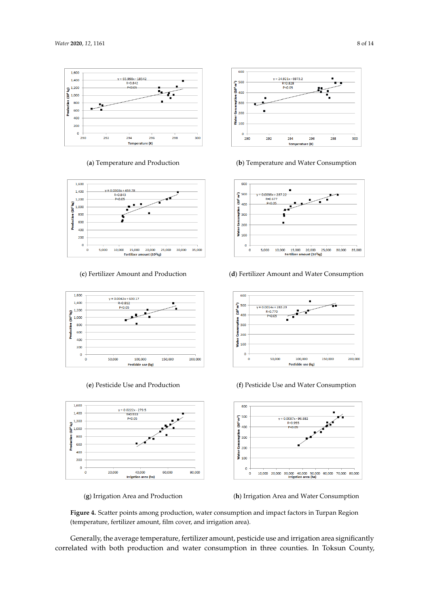<span id="page-7-0"></span>













(**a**) Temperature and Production (**b**) Temperature and Water Consumption



(**c**) Fertilizer Amount and Production (**d**) Fertilizer Amount and Water Consumption



(**e**) Pesticide Use and Production (**f**) Pesticide Use and Water Consumption



(**g**) Irrigation Area and Production (**h**) Irrigation Area and Water Consumption

**Figure 4.** Scatter points among production, water consumption and impact factors in Turpan Region (temperature, fertilizer amount, film cover, and irrigation area).

Generally, the average temperature, fertilizer amount, pesticide use and irrigation area significantly correlated with both production and water consumption in three counties. In Toksun County,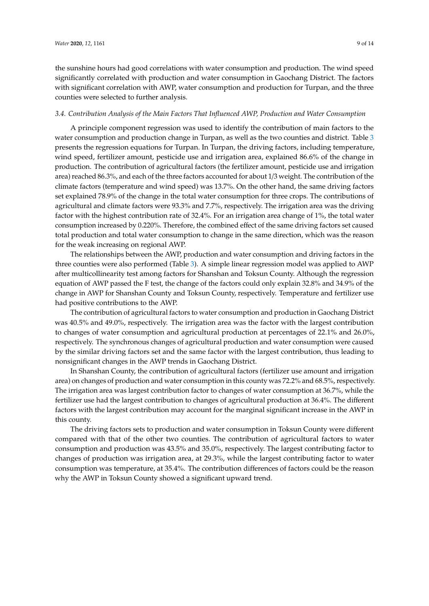the sunshine hours had good correlations with water consumption and production. The wind speed significantly correlated with production and water consumption in Gaochang District. The factors with significant correlation with AWP, water consumption and production for Turpan, and the three counties were selected to further analysis.

#### *3.4. Contribution Analysis of the Main Factors That Influenced AWP, Production and Water Consumption*

A principle component regression was used to identify the contribution of main factors to the water consumption and production change in Turpan, as well as the two counties and district. Table [3](#page-9-0) presents the regression equations for Turpan. In Turpan, the driving factors, including temperature, wind speed, fertilizer amount, pesticide use and irrigation area, explained 86.6% of the change in production. The contribution of agricultural factors (the fertilizer amount, pesticide use and irrigation area) reached 86.3%, and each of the three factors accounted for about 1/3 weight. The contribution of the climate factors (temperature and wind speed) was 13.7%. On the other hand, the same driving factors set explained 78.9% of the change in the total water consumption for three crops. The contributions of agricultural and climate factors were 93.3% and 7.7%, respectively. The irrigation area was the driving factor with the highest contribution rate of 32.4%. For an irrigation area change of 1%, the total water consumption increased by 0.220%. Therefore, the combined effect of the same driving factors set caused total production and total water consumption to change in the same direction, which was the reason for the weak increasing on regional AWP.

The relationships between the AWP, production and water consumption and driving factors in the three counties were also performed (Table [3\)](#page-9-0). A simple linear regression model was applied to AWP after multicollinearity test among factors for Shanshan and Toksun County. Although the regression equation of AWP passed the F test, the change of the factors could only explain 32.8% and 34.9% of the change in AWP for Shanshan County and Toksun County, respectively. Temperature and fertilizer use had positive contributions to the AWP.

The contribution of agricultural factors to water consumption and production in Gaochang District was 40.5% and 49.0%, respectively. The irrigation area was the factor with the largest contribution to changes of water consumption and agricultural production at percentages of 22.1% and 26.0%, respectively. The synchronous changes of agricultural production and water consumption were caused by the similar driving factors set and the same factor with the largest contribution, thus leading to nonsignificant changes in the AWP trends in Gaochang District.

In Shanshan County, the contribution of agricultural factors (fertilizer use amount and irrigation area) on changes of production and water consumption in this county was 72.2% and 68.5%, respectively. The irrigation area was largest contribution factor to changes of water consumption at 36.7%, while the fertilizer use had the largest contribution to changes of agricultural production at 36.4%. The different factors with the largest contribution may account for the marginal significant increase in the AWP in this county.

The driving factors sets to production and water consumption in Toksun County were different compared with that of the other two counties. The contribution of agricultural factors to water consumption and production was 43.5% and 35.0%, respectively. The largest contributing factor to changes of production was irrigation area, at 29.3%, while the largest contributing factor to water consumption was temperature, at 35.4%. The contribution differences of factors could be the reason why the AWP in Toksun County showed a significant upward trend.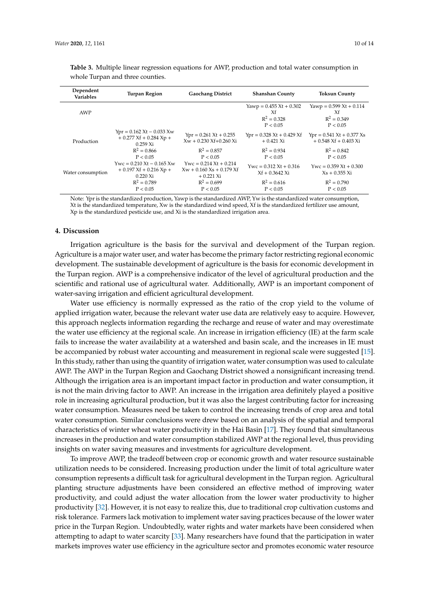| Dependent<br>Variables | <b>Turpan Region</b>                                                                                    | <b>Gaochang District</b>                                              | <b>Shanshan County</b>                                       | <b>Toksun County</b>                                                   |  |
|------------------------|---------------------------------------------------------------------------------------------------------|-----------------------------------------------------------------------|--------------------------------------------------------------|------------------------------------------------------------------------|--|
| AWP                    |                                                                                                         |                                                                       | Yawp = $0.455$ Xt + 0.302<br>Xf<br>$R^2 = 0.328$<br>P < 0.05 | Yawp = $0.599$ Xt + $0.114$<br>Xf<br>$R^2 = 0.349$<br>P < 0.05         |  |
| Production             | $\text{Ypr} = 0.162 \text{ Xt} - 0.033 \text{ Xw}$<br>$+0.277$ Xf $+0.284$ Xp $+$<br>$0.259 \text{ Xi}$ | $Ypr = 0.261 \text{ Xt} + 0.255$<br>$Xw + 0.230 Xf + 0.260 Xi$        | $Ypr = 0.328 \text{ Xt} + 0.429 \text{ Xf}$<br>$+0.421$ Xi   | $Ypr = 0.541 \text{ Xt} + 0.377 \text{ Xs}$<br>$+0.548$ Xf $+0.403$ Xi |  |
|                        | $R^2 = 0.866$<br>P < 0.05                                                                               | $R^2 = 0.857$<br>P < 0.05                                             | $R^2 = 0.934$<br>P < 0.05                                    | $R^2 = 0.842$<br>P < 0.05                                              |  |
| Water consumption      | $Ywc = 0.210 Xt - 0.165 Xw$<br>$+0.197$ Xf $+0.216$ Xp $+$<br>$0.220 \text{ Xi}$                        | $Ywc = 0.214 Xt + 0.214$<br>$Xw + 0.160 Xs + 0.179 Xf$<br>$+0.221$ Xi | $Ywc = 0.312 Xt + 0.316$<br>$Xf + 0.3642 Xi$                 | $Ywc = 0.359 Xt + 0.300$<br>$Xs + 0.355 Xi$                            |  |
|                        | $R^2 = 0.789$<br>P < 0.05                                                                               | $R^2 = 0.699$<br>P < 0.05                                             | $R^2 = 0.616$<br>P < 0.05                                    | $R^2 = 0.790$<br>P < 0.05                                              |  |

<span id="page-9-0"></span>**Table 3.** Multiple linear regression equations for AWP, production and total water consumption in whole Turpan and three counties.

Note: Ypr is the standardized production, Yawp is the standardized AWP, Yw is the standardized water consumption, Xt is the standardized temperature, Xw is the standardized wind speed, Xf is the standardized fertilizer use amount, Xp is the standardized pesticide use, and Xi is the standardized irrigation area.

#### **4. Discussion**

Irrigation agriculture is the basis for the survival and development of the Turpan region. Agriculture is a major water user, and water has become the primary factor restricting regional economic development. The sustainable development of agriculture is the basis for economic development in the Turpan region. AWP is a comprehensive indicator of the level of agricultural production and the scientific and rational use of agricultural water. Additionally, AWP is an important component of water-saving irrigation and efficient agricultural development.

Water use efficiency is normally expressed as the ratio of the crop yield to the volume of applied irrigation water, because the relevant water use data are relatively easy to acquire. However, this approach neglects information regarding the recharge and reuse of water and may overestimate the water use efficiency at the regional scale. An increase in irrigation efficiency (IE) at the farm scale fails to increase the water availability at a watershed and basin scale, and the increases in IE must be accompanied by robust water accounting and measurement in regional scale were suggested [\[15\]](#page-12-1). In this study, rather than using the quantity of irrigation water, water consumption was used to calculate AWP. The AWP in the Turpan Region and Gaochang District showed a nonsignificant increasing trend. Although the irrigation area is an important impact factor in production and water consumption, it is not the main driving factor to AWP. An increase in the irrigation area definitely played a positive role in increasing agricultural production, but it was also the largest contributing factor for increasing water consumption. Measures need be taken to control the increasing trends of crop area and total water consumption. Similar conclusions were drew based on an analysis of the spatial and temporal characteristics of winter wheat water productivity in the Hai Basin [\[17\]](#page-12-3). They found that simultaneous increases in the production and water consumption stabilized AWP at the regional level, thus providing insights on water saving measures and investments for agriculture development.

To improve AWP, the tradeoff between crop or economic growth and water resource sustainable utilization needs to be considered. Increasing production under the limit of total agriculture water consumption represents a difficult task for agricultural development in the Turpan region. Agricultural planting structure adjustments have been considered an effective method of improving water productivity, and could adjust the water allocation from the lower water productivity to higher productivity [\[32\]](#page-12-18). However, it is not easy to realize this, due to traditional crop cultivation customs and risk tolerance. Farmers lack motivation to implement water saving practices because of the lower water price in the Turpan Region. Undoubtedly, water rights and water markets have been considered when attempting to adapt to water scarcity [\[33\]](#page-13-0). Many researchers have found that the participation in water markets improves water use efficiency in the agriculture sector and promotes economic water resource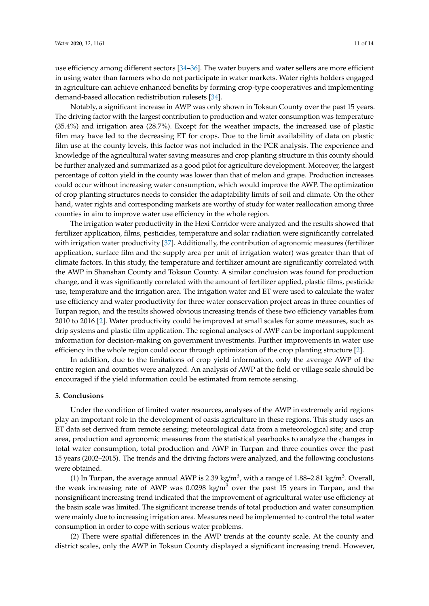use efficiency among different sectors [\[34](#page-13-1)[–36\]](#page-13-2). The water buyers and water sellers are more efficient in using water than farmers who do not participate in water markets. Water rights holders engaged in agriculture can achieve enhanced benefits by forming crop-type cooperatives and implementing demand-based allocation redistribution rulesets [\[34\]](#page-13-1).

Notably, a significant increase in AWP was only shown in Toksun County over the past 15 years. The driving factor with the largest contribution to production and water consumption was temperature (35.4%) and irrigation area (28.7%). Except for the weather impacts, the increased use of plastic film may have led to the decreasing ET for crops. Due to the limit availability of data on plastic film use at the county levels, this factor was not included in the PCR analysis. The experience and knowledge of the agricultural water saving measures and crop planting structure in this county should be further analyzed and summarized as a good pilot for agriculture development. Moreover, the largest percentage of cotton yield in the county was lower than that of melon and grape. Production increases could occur without increasing water consumption, which would improve the AWP. The optimization of crop planting structures needs to consider the adaptability limits of soil and climate. On the other hand, water rights and corresponding markets are worthy of study for water reallocation among three counties in aim to improve water use efficiency in the whole region.

The irrigation water productivity in the Hexi Corridor were analyzed and the results showed that fertilizer application, films, pesticides, temperature and solar radiation were significantly correlated with irrigation water productivity [\[37\]](#page-13-3). Additionally, the contribution of agronomic measures (fertilizer application, surface film and the supply area per unit of irrigation water) was greater than that of climate factors. In this study, the temperature and fertilizer amount are significantly correlated with the AWP in Shanshan County and Toksun County. A similar conclusion was found for production change, and it was significantly correlated with the amount of fertilizer applied, plastic films, pesticide use, temperature and the irrigation area. The irrigation water and ET were used to calculate the water use efficiency and water productivity for three water conservation project areas in three counties of Turpan region, and the results showed obvious increasing trends of these two efficiency variables from 2010 to 2016 [\[2\]](#page-11-1). Water productivity could be improved at small scales for some measures, such as drip systems and plastic film application. The regional analyses of AWP can be important supplement information for decision-making on government investments. Further improvements in water use efficiency in the whole region could occur through optimization of the crop planting structure [\[2\]](#page-11-1).

In addition, due to the limitations of crop yield information, only the average AWP of the entire region and counties were analyzed. An analysis of AWP at the field or village scale should be encouraged if the yield information could be estimated from remote sensing.

#### **5. Conclusions**

Under the condition of limited water resources, analyses of the AWP in extremely arid regions play an important role in the development of oasis agriculture in these regions. This study uses an ET data set derived from remote sensing; meteorological data from a meteorological site; and crop area, production and agronomic measures from the statistical yearbooks to analyze the changes in total water consumption, total production and AWP in Turpan and three counties over the past 15 years (2002–2015). The trends and the driving factors were analyzed, and the following conclusions were obtained.

(1) In Turpan, the average annual AWP is 2.39 kg/m<sup>3</sup>, with a range of 1.88–2.81 kg/m<sup>3</sup>. Overall, the weak increasing rate of AWP was  $0.0298 \text{ kg/m}^3$  over the past 15 years in Turpan, and the nonsignificant increasing trend indicated that the improvement of agricultural water use efficiency at the basin scale was limited. The significant increase trends of total production and water consumption were mainly due to increasing irrigation area. Measures need be implemented to control the total water consumption in order to cope with serious water problems.

(2) There were spatial differences in the AWP trends at the county scale. At the county and district scales, only the AWP in Toksun County displayed a significant increasing trend. However,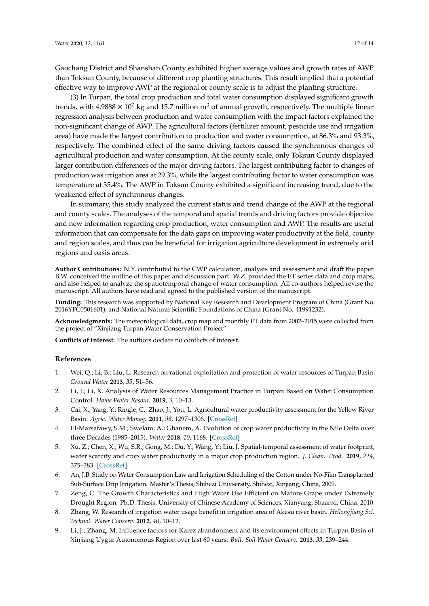Gaochang District and Shanshan County exhibited higher average values and growth rates of AWP than Toksun County, because of different crop planting structures. This result implied that a potential effective way to improve AWP at the regional or county scale is to adjust the planting structure.

(3) In Turpan, the total crop production and total water consumption displayed significant growth trends, with 4.9888  $\times$  10<sup>7</sup> kg and 15.7 million m<sup>3</sup> of annual growth, respectively. The multiple linear regression analysis between production and water consumption with the impact factors explained the non-significant change of AWP. The agricultural factors (fertilizer amount, pesticide use and irrigation area) have made the largest contribution to production and water consumption, at 86.3% and 93.3%, respectively. The combined effect of the same driving factors caused the synchronous changes of agricultural production and water consumption. At the county scale, only Toksun County displayed larger contribution differences of the major driving factors. The largest contributing factor to changes of production was irrigation area at 29.3%, while the largest contributing factor to water consumption was temperature at 35.4%. The AWP in Toksun County exhibited a significant increasing trend, due to the weakened effect of synchronous changes.

In summary, this study analyzed the current status and trend change of the AWP at the regional and county scales. The analyses of the temporal and spatial trends and driving factors provide objective and new information regarding crop production, water consumption and AWP. The results are useful information that can compensate for the data gaps on improving water productivity at the field, county and region scales, and thus can be beneficial for irrigation agriculture development in extremely arid regions and oasis areas.

**Author Contributions:** N.Y. contributed to the CWP calculation, analysis and assessment and draft the paper. B.W. conceived the outline of this paper and discussion part. W.Z. provided the ET series data and crop maps, and also helped to analyze the spatiotemporal change of water consumption. All co-authors helped revise the manuscript. All authors have read and agreed to the published version of the manuscript.

**Funding:** This research was supported by National Key Research and Development Program of China (Grant No. 2016YFC0501601), and National Natural Scientific Foundations of China (Grant No. 41991232).

**Acknowledgments:** The meteorological data, crop map and monthly ET data from 2002–2015 were collected from the project of "Xinjiang Turpan Water Conservation Project".

**Conflicts of Interest:** The authors declare no conflicts of interest.

#### **References**

- <span id="page-11-0"></span>1. Wei, Q.; Li, B.; Liu, L. Research on rational exploitation and protection of water resources of Turpan Basin. *Ground Water* **2013**, *35*, 51–56.
- <span id="page-11-1"></span>2. Li, J.; Li, X. Analysis of Water Resources Management Practice in Turpan Based on Water Consumption Control. *Haihe Water Resour.* **2019**, *3*, 10–13.
- <span id="page-11-2"></span>3. Cai, X.; Yang, Y.; Ringle, C.; Zhao, J.; You, L. Agricultural water productivity assessment for the Yellow River Basin. *Agric. Water Manag.* **2011**, *98*, 1297–1306. [\[CrossRef\]](http://dx.doi.org/10.1016/j.agwat.2011.03.010)
- 4. El-Marsafawy, S.M.; Swelam, A.; Ghanem, A. Evolution of crop water productivity in the Nile Delta over three Decades (1985–2015). *Water* **2018**, *10*, 1168. [\[CrossRef\]](http://dx.doi.org/10.3390/w10091168)
- <span id="page-11-3"></span>5. Xu, Z.; Chen, X.; Wu, S.R.; Gong, M.; Du, Y.; Wang, Y.; Liu, J. Spatial-temporal assessment of water footprint, water scarcity and crop water productivity in a major crop production region. *J. Clean. Prod.* **2019**, *224*, 375–383. [\[CrossRef\]](http://dx.doi.org/10.1016/j.jclepro.2019.03.108)
- <span id="page-11-4"></span>6. An, J.B. Study on Water Consumption Law and Irrigation Scheduling of the Cotton under No-Film Transplanted Sub-Surface Drip Irrigation. Master's Thesis, Shihezi Univsersity, Shihezi, Xinjiang, China, 2009.
- 7. Zeng, C. The Growth Characteristics and High Water Use Efficient on Mature Grape under Extremely Drought Region. Ph.D. Thesis, University of Chinese Academy of Sciences, Xianyang, Shaanxi, China, 2010.
- 8. Zhang, W. Research of irrigation water usage benefit in irrigation area of Akesu river basin. *Heilongjiang Sci. Technol. Water Conserv.* **2012**, *40*, 10–12.
- <span id="page-11-5"></span>9. Li, J.; Zhang, M. Influence factors for Karez abandonment and its environment effects in Turpan Basin of Xinjiang Uygur Autonomous Region over last 60 years. *Bull. Soil Water Conserv.* **2013**, *33*, 239–244.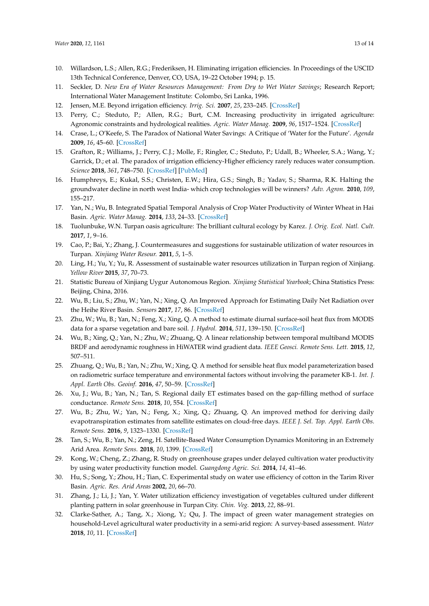- <span id="page-12-0"></span>10. Willardson, L.S.; Allen, R.G.; Frederiksen, H. Eliminating irrigation efficiencies. In Proceedings of the USCID 13th Technical Conference, Denver, CO, USA, 19–22 October 1994; p. 15.
- 11. Seckler, D. *New Era of Water Resources Management: From Dry to Wet Water Savings*; Research Report; International Water Management Institute: Colombo, Sri Lanka, 1996.
- 12. Jensen, M.E. Beyond irrigation efficiency. *Irrig. Sci.* **2007**, *25*, 233–245. [\[CrossRef\]](http://dx.doi.org/10.1007/s00271-007-0060-5)
- 13. Perry, C.; Steduto, P.; Allen, R.G.; Burt, C.M. Increasing productivity in irrigated agriculture: Agronomic constraints and hydrological realities. *Agric. Water Manag.* **2009**, *96*, 1517–1524. [\[CrossRef\]](http://dx.doi.org/10.1016/j.agwat.2009.05.005)
- 14. Crase, L.; O'Keefe, S. The Paradox of National Water Savings: A Critique of 'Water for the Future'. *Agenda* **2009**, *16*, 45–60. [\[CrossRef\]](http://dx.doi.org/10.22459/AG.16.01.2009.03)
- <span id="page-12-1"></span>15. Grafton, R.; Williams, J.; Perry, C.J.; Molle, F.; Ringler, C.; Steduto, P.; Udall, B.; Wheeler, S.A.; Wang, Y.; Garrick, D.; et al. The paradox of irrigation efficiency-Higher efficiency rarely reduces water consumption. *Science* **2018**, *361*, 748–750. [\[CrossRef\]](http://dx.doi.org/10.1126/science.aat9314) [\[PubMed\]](http://www.ncbi.nlm.nih.gov/pubmed/30139857)
- <span id="page-12-2"></span>16. Humphreys, E.; Kukal, S.S.; Christen, E.W.; Hira, G.S.; Singh, B.; Yadav, S.; Sharma, R.K. Halting the groundwater decline in north west India- which crop technologies will be winners? *Adv. Agron.* **2010**, *109*, 155–217.
- <span id="page-12-3"></span>17. Yan, N.; Wu, B. Integrated Spatial Temporal Analysis of Crop Water Productivity of Winter Wheat in Hai Basin. *Agric. Water Manag.* **2014**, *133*, 24–33. [\[CrossRef\]](http://dx.doi.org/10.1016/j.agwat.2013.11.001)
- <span id="page-12-4"></span>18. Tuolunbuke, W.N. Turpan oasis agriculture: The brilliant cultural ecology by Karez. *J. Orig. Ecol. Natl. Cult.* **2017**, *1*, 9–16.
- <span id="page-12-5"></span>19. Cao, P.; Bai, Y.; Zhang, J. Countermeasures and suggestions for sustainable utilization of water resources in Turpan. *Xinjiang Water Resour.* **2011**, *5*, 1–5.
- <span id="page-12-6"></span>20. Ling, H.; Yu, Y.; Yu, R. Assessment of sustainable water resources utilization in Turpan region of Xinjiang. *Yellow River* **2015**, *37*, 70–73.
- <span id="page-12-7"></span>21. Statistic Bureau of Xinjiang Uygur Autonomous Region. *Xinjiang Statistical Yearbook*; China Statistics Press: Beijing, China, 2016.
- <span id="page-12-8"></span>22. Wu, B.; Liu, S.; Zhu, W.; Yan, N.; Xing, Q. An Improved Approach for Estimating Daily Net Radiation over the Heihe River Basin. *Sensors* **2017**, *17*, 86. [\[CrossRef\]](http://dx.doi.org/10.3390/s17010086)
- <span id="page-12-9"></span>23. Zhu, W.; Wu, B.; Yan, N.; Feng, X.; Xing, Q. A method to estimate diurnal surface-soil heat flux from MODIS data for a sparse vegetation and bare soil. *J. Hydrol.* **2014**, *511*, 139–150. [\[CrossRef\]](http://dx.doi.org/10.1016/j.jhydrol.2014.01.019)
- <span id="page-12-10"></span>24. Wu, B.; Xing, Q.; Yan, N.; Zhu, W.; Zhuang, Q. A linear relationship between temporal multiband MODIS BRDF and aerodynamic roughness in HiWATER wind gradient data. *IEEE Geosci. Remote Sens. Lett.* **2015**, *12*, 507–511.
- <span id="page-12-11"></span>25. Zhuang, Q.; Wu, B.; Yan, N.; Zhu, W.; Xing, Q. A method for sensible heat flux model parameterization based on radiometric surface temperature and environmental factors without involving the parameter KB-1. *Int. J. Appl. Earth Obs. Geoinf.* **2016**, *47*, 50–59. [\[CrossRef\]](http://dx.doi.org/10.1016/j.jag.2015.11.015)
- <span id="page-12-12"></span>26. Xu, J.; Wu, B.; Yan, N.; Tan, S. Regional daily ET estimates based on the gap-filling method of surface conductance. *Remote Sens.* **2018**, *10*, 554. [\[CrossRef\]](http://dx.doi.org/10.3390/rs10040554)
- <span id="page-12-13"></span>27. Wu, B.; Zhu, W.; Yan, N.; Feng, X.; Xing, Q.; Zhuang, Q. An improved method for deriving daily evapotranspiration estimates from satellite estimates on cloud-free days. *IEEE J. Sel. Top. Appl. Earth Obs. Remote Sens.* **2016**, *9*, 1323–1330. [\[CrossRef\]](http://dx.doi.org/10.1109/JSTARS.2015.2514121)
- <span id="page-12-14"></span>28. Tan, S.; Wu, B.; Yan, N.; Zeng, H. Satellite-Based Water Consumption Dynamics Monitoring in an Extremely Arid Area. *Remote Sens.* **2018**, *10*, 1399. [\[CrossRef\]](http://dx.doi.org/10.3390/rs10091399)
- <span id="page-12-15"></span>29. Kong, W.; Cheng, Z.; Zhang, R. Study on greenhouse grapes under delayed cultivation water productivity by using water productivity function model. *Guangdong Agric. Sci.* **2014**, *14*, 41–46.
- <span id="page-12-17"></span>30. Hu, S.; Song, Y.; Zhou, H.; Tian, C. Experimental study on water use efficiency of cotton in the Tarim River Basin. *Agric. Res. Arid Areas* **2002**, *20*, 66–70.
- <span id="page-12-16"></span>31. Zhang, J.; Li, J.; Yan, Y. Water utilization efficiency investigation of vegetables cultured under different planting pattern in solar greenhouse in Turpan City. *Chin. Veg.* **2013**, *22*, 88–91.
- <span id="page-12-18"></span>32. Clarke-Sather, A.; Tang, X.; Xiong, Y.; Qu, J. The impact of green water management strategies on household-Level agricultural water productivity in a semi-arid region: A survey-based assessment. *Water* **2018**, *10*, 11. [\[CrossRef\]](http://dx.doi.org/10.3390/w10010011)